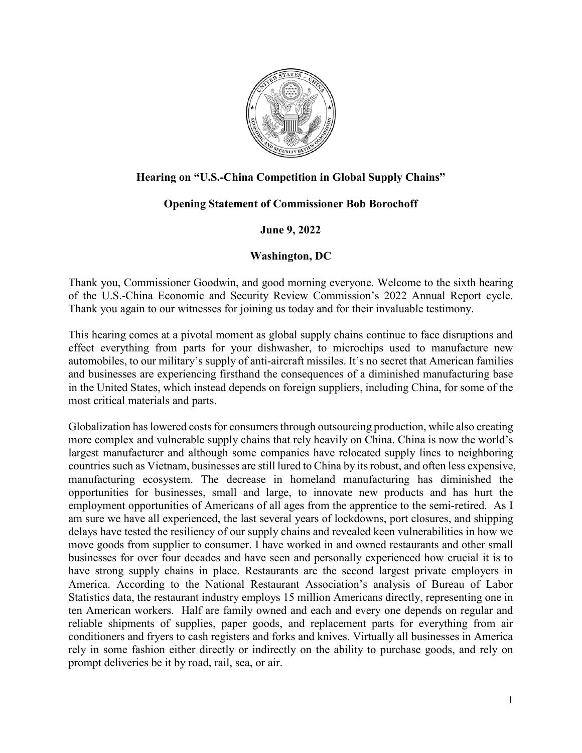

## **Hearing on "U.S.-China Competition in Global Supply Chains"**

## **Opening Statement of Commissioner Bob Borochoff**

## **June 9, 2022**

## **Washington, DC**

Thank you, Commissioner Goodwin, and good morning everyone. Welcome to the sixth hearing of the U.S.-China Economic and Security Review Commission's 2022 Annual Report cycle. Thank you again to our witnesses for joining us today and for their invaluable testimony.

This hearing comes at a pivotal moment as global supply chains continue to face disruptions and effect everything from parts for your dishwasher, to microchips used to manufacture new automobiles, to our military's supply of anti-aircraft missiles. It's no secret that American families and businesses are experiencing firsthand the consequences of a diminished manufacturing base in the United States, which instead depends on foreign suppliers, including China, for some of the most critical materials and parts.

Globalization has lowered costs for consumers through outsourcing production, while also creating more complex and vulnerable supply chains that rely heavily on China. China is now the world's largest manufacturer and although some companies have relocated supply lines to neighboring countries such as Vietnam, businesses are still lured to China by its robust, and often less expensive, manufacturing ecosystem. The decrease in homeland manufacturing has diminished the opportunities for businesses, small and large, to innovate new products and has hurt the employment opportunities of Americans of all ages from the apprentice to the semi-retired. As I am sure we have all experienced, the last several years of lockdowns, port closures, and shipping delays have tested the resiliency of our supply chains and revealed keen vulnerabilities in how we move goods from supplier to consumer. I have worked in and owned restaurants and other small businesses for over four decades and have seen and personally experienced how crucial it is to have strong supply chains in place. Restaurants are the second largest private employers in America. According to the National Restaurant Association's analysis of Bureau of Labor Statistics data, the restaurant industry employs 15 million Americans directly, representing one in ten American workers. Half are family owned and each and every one depends on regular and reliable shipments of supplies, paper goods, and replacement parts for everything from air conditioners and fryers to cash registers and forks and knives. Virtually all businesses in America rely in some fashion either directly or indirectly on the ability to purchase goods, and rely on prompt deliveries be it by road, rail, sea, or air.